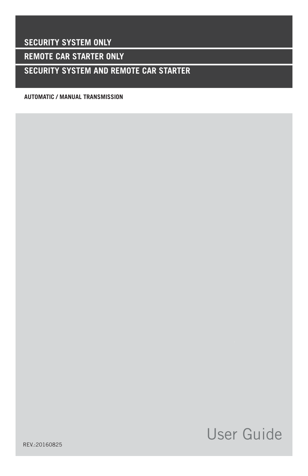**SECURITY SYSTEM ONLY**

**REMOTE CAR STARTER ONLY** 

**SECURITY SYSTEM AND REMOTE CAR STARTER**

**AUTOMATIC / MANUAL TRANSMISSION** 

# User Guide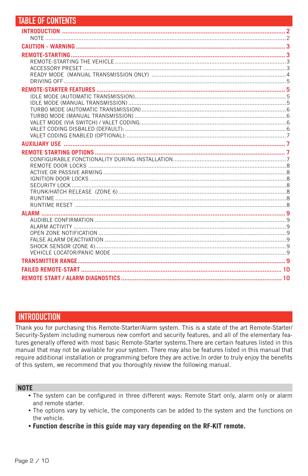| <b>TABLE OF CONTENTS</b> |  |
|--------------------------|--|
|                          |  |
|                          |  |
|                          |  |
|                          |  |
|                          |  |
|                          |  |
|                          |  |
|                          |  |
|                          |  |
|                          |  |
|                          |  |
|                          |  |
|                          |  |
|                          |  |
|                          |  |
|                          |  |
|                          |  |
|                          |  |
|                          |  |
|                          |  |
|                          |  |
|                          |  |
|                          |  |
|                          |  |
|                          |  |
|                          |  |
|                          |  |
|                          |  |
|                          |  |
|                          |  |
|                          |  |
|                          |  |
|                          |  |

# **INTRODUCTION**

Thank you for purchasing this Remote-Starter/Alarm system. This is a state of the art Remote-Starter/ Security-System including numerous new comfort and security features, and all of the elementary features generally offered with most basic Remote-Starter systems. There are certain features listed in this manual that may not be available for your system. There may also be features listed in this manual that require additional installation or programming before they are active. In order to truly enjoy the benefits of this system, we recommend that you thoroughly review the following manual.

#### **NOTE**

- . The system can be configured in three different ways: Remote Start only, alarm only or alarm and remote starter.
- The options vary by vehicle, the components can be added to the system and the functions on the vehicle.
- . Function describe in this guide may vary depending on the RF-KIT remote.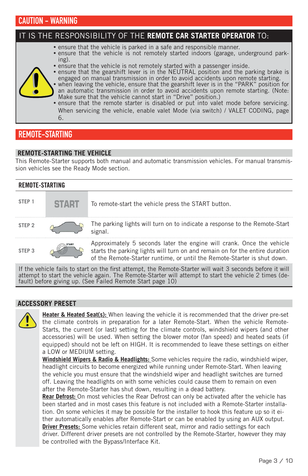# CAUTION - WARNING

#### IT IS THE RESPONSIBILITY OF THE **REMOTE CAR STARTER OPERATOR** TO: **•** ensure that the vehicle is parked in a safe and responsible manner. **•** ensure that the vehicle is not remotely started indoors (garage, underground parking). **•** ensure that the vehicle is not remotely started with a passenger inside. **•** ensure that the gearshift lever is in the NEUTRAL position and the parking brake is engaged on manual transmission in order to avoid accidents upon remote starting. **•** when leaving the vehicle, ensure that the gearshift lever is in the "PARK" position for an automatic transmission in order to avoid accidents upon remote starting. (Note: Make sure that the vehicle cannot start in "Drive" position.) **•** ensure that the remote starter is disabled or put into valet mode before servicing. When servicing the vehicle, enable valet Mode (via switch) / VALET CODING, page 6.

# REMOTE-STARTING

## **REMOTE-STARTING THE VEHICLE**

This Remote-Starter supports both manual and automatic transmission vehicles. For manual transmission vehicles see the Ready Mode section.

| REMOTE-STARTING   |       |                                                                                                                                                                                                                                   |  |  |
|-------------------|-------|-----------------------------------------------------------------------------------------------------------------------------------------------------------------------------------------------------------------------------------|--|--|
| STEP <sub>1</sub> | START | To remote-start the vehicle press the START button.                                                                                                                                                                               |  |  |
| STEP <sub>2</sub> |       | The parking lights will turn on to indicate a response to the Remote-Start<br>signal.                                                                                                                                             |  |  |
| STEP <sub>3</sub> |       | Approximately 5 seconds later the engine will crank. Once the vehicle<br>starts the parking lights will turn on and remain on for the entire duration<br>of the Remote-Starter runtime, or until the Remote-Starter is shut down. |  |  |
|                   |       | If the contribution is enough a the fluid stressed also from the factors of the state $\alpha$ seconds to find the stress                                                                                                         |  |  |

If the vehicle fails to start on the first attempt, the Remote-Starter will wait 3 seconds before it will attempt to start the vehicle again. The Remote-Starter will attempt to start the vehicle 2 times (default) before giving up. (See Failed Remote Start page 10)

## **ACCESSORY PRESET**



**Heater & Heated Seat(s):** When leaving the vehicle it is recommended that the driver pre-set the climate controls in preparation for a later Remote-Start. When the vehicle Remote-Starts, the current (or last) setting for the climate controls, windshield wipers (and other accessories) will be used. When setting the blower motor (fan speed) and heated seats (if equipped) should not be left on HIGH. It is recommended to leave these settings on either a LOW or MEDIUM setting.

**Windshield Wipers & Radio & Headlights:** Some vehicles require the radio, windshield wiper, headlight circuits to become energized while running under Remote-Start. When leaving the vehicle you must ensure that the windshield wiper and headlight switches are turned off. Leaving the headlights on with some vehicles could cause them to remain on even after the Remote-Starter has shut down, resulting in a dead battery.

**Rear Defrost:** On most vehicles the Rear Defrost can only be activated after the vehicle has been started and in most cases this feature is not included with a Remote-Starter installation. On some vehicles it may be possible for the installer to hook this feature up so it either automatically enables after Remote-Start or can be enabled by using an AUX output. **Driver Presets:** Some vehicles retain different seat, mirror and radio settings for each driver. Different driver presets are not controlled by the Remote-Starter, however they may be controlled with the Bypass/Interface Kit.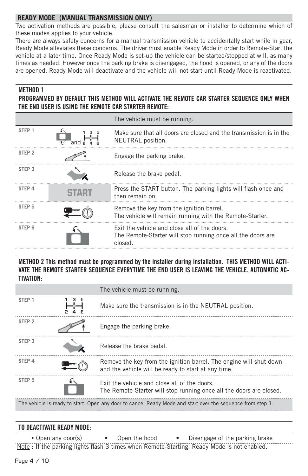# **READY MODE (MANUAL TRANSMISSION ONLY)**

Two activation methods are possible, please consult the salesman or installer to determine which of these modes applies to your vehicle.

There are always safety concerns for a manual transmission vehicle to accidentally start while in gear, Ready Mode alleviates these concerns. The driver must enable Ready Mode in order to Remote-Start the vehicle at a later time. Once Ready Mode is set-up the vehicle can be started/stopped at will, as many times as needed. However once the parking brake is disengaged, the hood is opened, or any of the doors are opened, Ready Mode will deactivate and the vehicle will not start until Ready Mode is reactivated.

#### METHOD 1

# PROGRAMMED BY DEFAULT THIS METHOD WILL ACTIVATE THE REMOTE CAR STARTER SEQUENCE ONLY WHEN THE END USER IS USING THE REMOTE CAR STARTER REMOTE:

|                   | The vehicle must be running.                                                                                           |
|-------------------|------------------------------------------------------------------------------------------------------------------------|
| STEP <sub>1</sub> | Make sure that all doors are closed and the transmission is in the<br>NEUTRAL position.                                |
| STEP <sub>2</sub> | Engage the parking brake.                                                                                              |
| STEP <sub>3</sub> | Release the brake pedal.                                                                                               |
| STEP <sub>4</sub> | Press the START button. The parking lights will flash once and<br>then remain on.                                      |
| STEP <sub>5</sub> | Remove the key from the ignition barrel.<br>The vehicle will remain running with the Remote-Starter.                   |
| STEP <sub>6</sub> | Exit the vehicle and close all of the doors.<br>The Remote-Starter will stop running once all the doors are<br>closed. |

## METHOD 2 This method must be programmed by the installer during installation. THIS METHOD WILL ACTI-VATE THE REMOTE STARTER SEQUENCE EVERYTIME THE END USER IS LEAVING THE VEHICLE. AUTOMATIC AC-TIVATION:

|                   | The vehicle must be running.                                                                                              |
|-------------------|---------------------------------------------------------------------------------------------------------------------------|
| STEP <sub>1</sub> | Make sure the transmission is in the NEUTRAL position.                                                                    |
| STEP <sub>2</sub> | Engage the parking brake.                                                                                                 |
| STEP <sub>3</sub> | Release the brake pedal.                                                                                                  |
| STEP 4            | Remove the key from the ignition barrel. The engine will shut down<br>and the vehicle will be ready to start at any time. |
| STEP <sub>5</sub> | Exit the vehicle and close all of the doors.<br>The Remote-Starter will stop running once all the doors are closed.       |
|                   | The vehicle is ready to start. Open any door to cancel Ready Mode and start over the sequence from step 1.                |

# TO DEACTIVATE READY MODE:

• Open any door(s) • Open the hood • Disengage of the parking brake Note : If the parking lights flash 3 times when Remote-Starting, Ready Mode is not enabled.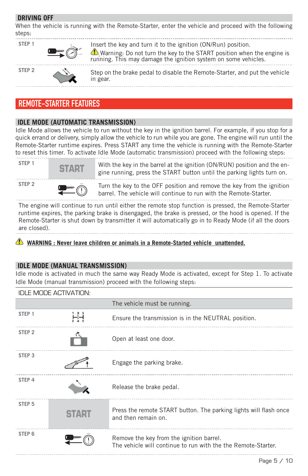## **DRIVING OFF**

When the vehicle is running with the Remote-Starter, enter the vehicle and proceed with the following steps:

| STEP <sub>1</sub> |               | Insert the key and turn it to the ignition (ON/Run) position.<br><b>D</b> Warning: Do not turn the key to the START position when the engine is running. This may damage the ignition system on some vehicles. |
|-------------------|---------------|----------------------------------------------------------------------------------------------------------------------------------------------------------------------------------------------------------------|
| STEP <sub>2</sub> | $\rightarrow$ | Step on the brake pedal to disable the Remote-Starter, and put the vehicle<br>in gear.                                                                                                                         |

# REMOTE-STARTER FEATURES

## **IDLE MODE (AUTOMATIC TRANSMISSION)**

Idle Mode allows the vehicle to run without the key in the ignition barrel. For example, if you stop for a quick errand or delivery, simply allow the vehicle to run while you are gone. The engine will run until the Remote-Starter runtime expires. Press START any time the vehicle is running with the Remote-Starter to reset this timer. To activate Idle Mode (automatic transmission) proceed with the following steps:



**STEP 1** START With the key in the barrel at the ignition (ON/RUN) position and the engine running, press the START button until the parking lights turn on.





**STEP 2 OFF** Turn the key to the OFF position and remove the key from the ignition barrel. The vehicle will continue to run with the Remote-Starter. 

The engine will continue to run until either the remote stop function is pressed, the Remote-Starter runtime expires, the parking brake is disengaged, the brake is pressed, or the hood is opened. If the Remote-Starter is shut down by transmitter it will automatically go in to Ready Mode (if all the doors are closed).

 **WARNING : Never leave children or animals in a Remote-Started vehicle unattended.**

# **IDLE MODE (MANUAL TRANSMISSION)**

Idle mode is activated in much the same way Ready Mode is activated, except for Step 1. To activate Idle Mode (manual transmission) proceed with the following steps:

|                   | <b>IDLE MODE ACTIVATION:</b> |                                                                                                           |
|-------------------|------------------------------|-----------------------------------------------------------------------------------------------------------|
|                   |                              | The vehicle must be running.                                                                              |
| STEP <sub>1</sub> |                              | Ensure the transmission is in the NEUTRAL position.                                                       |
| STEP <sub>2</sub> |                              | Open at least one door.                                                                                   |
| STEP <sub>3</sub> |                              | Engage the parking brake.                                                                                 |
| STEP <sub>4</sub> |                              | Release the brake pedal.                                                                                  |
| STEP <sub>5</sub> |                              | Press the remote START button. The parking lights will flash once<br>and then remain on.                  |
| STEP <sub>6</sub> |                              | Remove the key from the ignition barrel.<br>The vehicle will continue to run with the the Remote-Starter. |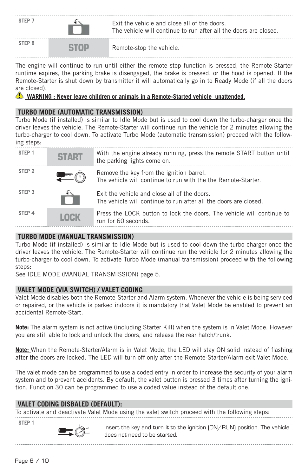

The engine will continue to run until either the remote stop function is pressed, the Remote-Starter runtime expires, the parking brake is disengaged, the brake is pressed, or the hood is opened. If the Remote-Starter is shut down by transmitter it will automatically go in to Ready Mode (if all the doors are closed).

*C* WARNING : Never leave children or animals in a Remote-Started vehicle unattended.

## **TURBO MODE (AUTOMATIC TRANSMISSION)**

Turbo Mode (if installed) is similar to Idle Mode but is used to cool down the turbo-charger once the driver leaves the vehicle. The Remote-Starter will continue run the vehicle for 2 minutes allowing the turbo-charger to cool down. To activate Turbo Mode (automatic transmission) proceed with the following steps:

| STEP <sub>1</sub> | <b>START</b> | With the engine already running, press the remote START button until<br>the parking lights come on.              |
|-------------------|--------------|------------------------------------------------------------------------------------------------------------------|
| STEP <sub>2</sub> |              | Remove the key from the ignition barrel.<br>The vehicle will continue to run with the the Remote-Starter.        |
| STEP <sub>3</sub> | Ĥ            | Exit the vehicle and close all of the doors.<br>The vehicle will continue to run after all the doors are closed. |
| STEP 4            | <b>LOCK</b>  | Press the LOCK button to lock the doors. The vehicle will continue to<br>run for 60 seconds.                     |

## **TURBO MODE (MANUAL TRANSMISSION)**

Turbo Mode (if installed) is similar to Idle Mode but is used to cool down the turbo-charger once the driver leaves the vehicle. The Remote-Starter will continue run the vehicle for 2 minutes allowing the turbo-charger to cool down. To activate Turbo Mode (manual transmission) proceed with the following steps:

See IDLE MODE (MANUAL TRANSMISSION) page 5.

# **VALET MODE (VIA SWITCH) / VALET CODING**

Valet Mode disables both the Remote-Starter and Alarm system. Whenever the vehicle is being serviced or repaired, or the vehicle is parked indoors it is mandatory that Valet Mode be enabled to prevent an accidental Remote-Start.

**Note:** The alarm system is not active (including Starter Kill) when the system is in Valet Mode. However you are still able to lock and unlock the doors, and release the rear hatch/trunk.

Note: When the Remote-Starter/Alarm is in Valet Mode, the LED will stay ON solid instead of flashing after the doors are locked. The LED will turn off only after the Remote-Starter/Alarm exit Valet Mode.

The valet mode can be programmed to use a coded entry in order to increase the security of your alarm system and to prevent accidents. By default, the valet button is pressed 3 times after turning the ignition. Function 30 can be programmed to use a coded value instead of the default one.

#### **VALET CODING DISBALED (DEFAULT):**

To activate and deactivate Valet Mode using the valet switch proceed with the following steps:

**STEP 1**



Insert the key and turn it to the ignition (ON/RUN) position. The vehicle does not need to be started.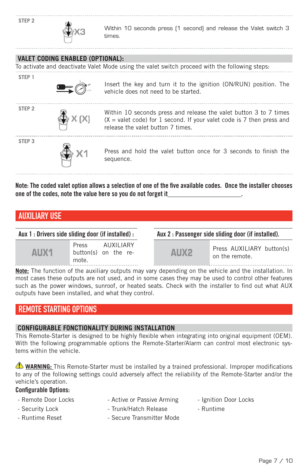| STEP <sub>2</sub> |                                  | Within 10 seconds press [1 second] and release the Valet switch 3<br>times.                                                                                                       |
|-------------------|----------------------------------|-----------------------------------------------------------------------------------------------------------------------------------------------------------------------------------|
|                   |                                  |                                                                                                                                                                                   |
|                   | VALET CODING ENABLED (OPTIONAL): |                                                                                                                                                                                   |
|                   |                                  | To activate and deactivate Valet Mode using the valet switch proceed with the following steps:                                                                                    |
| STEP <sub>1</sub> |                                  | Insert the key and turn it to the ignition (ON/RUN) position. The<br>vehicle does not need to be started.                                                                         |
| STEP <sub>2</sub> |                                  | Within 10 seconds press and release the valet button 3 to 7 times<br>$(X =$ valet code) for 1 second. If your valet code is 7 then press and<br>release the valet button 7 times. |
| STEP <sub>3</sub> |                                  | Press and hold the valet button once for 3 seconds to finish the<br>sequence.                                                                                                     |
|                   |                                  |                                                                                                                                                                                   |

Note: The coded valet option allows a selection of one of the five available codes. Once the installer chooses one of the codes, note the value here so you do not forget it

# AUXILIARY USE

|      | Press                | AUXII IARY |  |  |  |  |
|------|----------------------|------------|--|--|--|--|
| AUX1 | button(s) on the re- |            |  |  |  |  |
|      | mote.                |            |  |  |  |  |

Aux 1 : Drivers side sliding door (if installed) : Aux 2 : Passenger side sliding door (if installed).

AUX2 Press AUXILIARY button(s) on the remote.

**Note:** The function of the auxiliary outputs may vary depending on the vehicle and the installation. In most cases these outputs are not used, and in some cases they may be used to control other features such as the power windows, sunroof, or heated seats. Check with the installer to find out what AUX outputs have been installed, and what they control.

# REMOTE STARTING OPTIONS

# **CONFIGURABLE FONCTIONALITY DURING INSTALLATION**

This Remote-Starter is designed to be highly flexible when integrating into original equipment (OEM). With the following programmable options the Remote-Starter/Alarm can control most electronic systems within the vehicle.

**1** WARNING: This Remote-Starter must be installed by a trained professional. Improper modifications to any of the following settings could adversely affect the reliability of the Remote-Starter and/or the vehicle's operation.

# Configurable Options:

- Remote Door Locks Active or Passive Arming Ignition Door Locks
	-
- Security Lock  **Trunk/Hatch Release** Runtime
	-
- 
- 
- 
- Runtime Reset Secure Transmitter Mode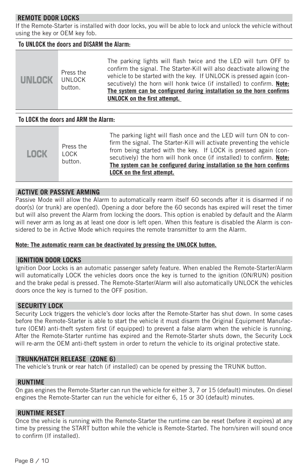## **REMOTE DOOR LOCKS**

If the Remote-Starter is installed with door locks, you will be able to lock and unlock the vehicle without using the key or OEM key fob.

## To UNLOCK the doors and DISARM the Alarm:

| <b>UNLOCK</b> | Press the<br><b>UNLOCK</b><br>button. | The parking lights will flash twice and the LED will turn OFF to<br>confirm the signal. The Starter-Kill will also deactivate allowing the<br>vehicle to be started with the key. If UNLOCK is pressed again (con-<br>secutively) the horn will honk twice (if installed) to confirm. <b>Note:</b><br>The system can be configured during installation so the horn confirms<br>UNLOCK on the first attempt. |
|---------------|---------------------------------------|-------------------------------------------------------------------------------------------------------------------------------------------------------------------------------------------------------------------------------------------------------------------------------------------------------------------------------------------------------------------------------------------------------------|
|---------------|---------------------------------------|-------------------------------------------------------------------------------------------------------------------------------------------------------------------------------------------------------------------------------------------------------------------------------------------------------------------------------------------------------------------------------------------------------------|

#### To LOCK the doors and ARM the Alarm:

| <b>LOCK</b> | Press the<br>LOCK<br>button. | The parking light will flash once and the LED will turn ON to con-<br>firm the signal. The Starter-Kill will activate preventing the vehicle<br>from being started with the key. If LOCK is pressed again (con-<br>secutively) the horn will honk once (if installed) to confirm. Note:<br>The system can be configured during installation so the horn confirms<br><b>LOCK on the first attempt.</b> |
|-------------|------------------------------|-------------------------------------------------------------------------------------------------------------------------------------------------------------------------------------------------------------------------------------------------------------------------------------------------------------------------------------------------------------------------------------------------------|
|-------------|------------------------------|-------------------------------------------------------------------------------------------------------------------------------------------------------------------------------------------------------------------------------------------------------------------------------------------------------------------------------------------------------------------------------------------------------|

#### **ACTIVE OR PASSIVE ARMING**

Passive Mode will allow the Alarm to automatically rearm itself 60 seconds after it is disarmed if no door(s) (or trunk) are open(ed). Opening a door before the 60 seconds has expired will reset the timer but will also prevent the Alarm from locking the doors. This option is enabled by default and the Alarm will never arm as long as at least one door is left open. When this feature is disabled the Alarm is considered to be in Active Mode which requires the remote transmitter to arm the Alarm.

#### **Note: The automatic rearm can be deactivated by pressing the UNLOCK button.**

#### **IGNITION DOOR LOCKS**

Ignition Door Locks is an automatic passenger safety feature. When enabled the Remote-Starter/Alarm will automatically LOCK the vehicles doors once the key is turned to the ignition (ON/RUN) position and the brake pedal is pressed. The Remote-Starter/Alarm will also automatically UNLOCK the vehicles doors once the key is turned to the OFF position.

#### **SECURITY LOCK**

Security Lock triggers the vehicle's door locks after the Remote-Starter has shut down. In some cases before the Remote-Starter is able to start the vehicle it must disarm the Original Equipment Manufacture (OEM) anti-theft system first (if equipped) to prevent a false alarm when the vehicle is running. After the Remote-Starter runtime has expired and the Remote-Starter shuts down, the Security Lock will re-arm the OEM anti-theft system in order to return the vehicle to its original protective state.

#### **TRUNK/HATCH RELEASE (ZONE 6)**

The vehicle's trunk or rear hatch (if installed) can be opened by pressing the TRUNK button.

#### **RUNTIME**

On gas engines the Remote-Starter can run the vehicle for either 3, 7 or 15 (default) minutes. On diesel engines the Remote-Starter can run the vehicle for either 6, 15 or 30 (default) minutes.

#### **RUNTIME RESET**

Once the vehicle is running with the Remote-Starter the runtime can be reset (before it expires) at any time by pressing the START button while the vehicle is Remote-Started. The horn/siren will sound once to confirm (If installed).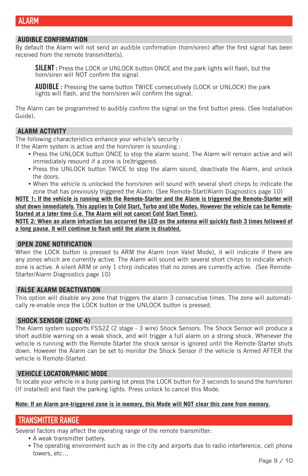# **AUDIBLE CONFIRMATION**

By default the Alarm will not send an audible confirmation (horn/siren) after the first signal has been received from the remote transmitter(s).

**SILENT**: Press the LOCK or UNLOCK button ONCE and the park lights will flash, but the horn/siren will NOT confirm the signal.

**AUDIBLE**: Pressing the same button TWICE consecutively (LOCK or UNLOCK) the park lights will flash, and the horn/siren will confirm the signal.

The Alarm can be programmed to audibly confirm the signal on the first button press. (See Installation Guide).

#### **ALARM ACTIVITY**

The following characteristics enhance your vehicle's security :

- If the Alarm system is active and the horn/siren is sounding :
	- **•** Press the UNLOCK button ONCE to stop the alarm sound. The Alarm will remain active and will immediately resound if a zone is (re)triggered.
	- **•** Press the UNLOCK button TWICE to stop the alarm sound, deactivate the Alarm, and unlock the doors.
	- **•** When the vehicle is unlocked the horn/siren will sound with several short chirps to indicate the zone that has previously triggered the Alarm. (See Remote-Start/Alarm Diagnostics page 10)

**NOTE 1: If the vehicle is running with the Remote-Starter and the Alarm is triggered the Remote-Starter will shut down immediately. This applies to Cold Start, Turbo and Idle Modes. However the vehicle can be Remote-Started at a later time (i.e. The Alarm will not cancel Cold Start Timer).**

**NOTE 2: When an alarm infraction has occurred the LED on the antenna will quickly flash 3 times followed of** a long pause. It will continue to flash until the alarm is disabled.

#### **OPEN ZONE NOTIFICATION**

When the LOCK button is pressed to ARM the Alarm (non Valet Mode), it will indicate if there are any zones which are currently active. The Alarm will sound with several short chirps to indicate which zone is active. A silent ARM or only 1 chirp indicates that no zones are currently active. (See Remote-Starter/Alarm Diagnostics page 10)

#### **FALSE ALARM DEACTIVATION**

This option will disable any zone that triggers the alarm 3 consecutive times. The zone will automatically re-enable once the LOCK button or the UNLOCK button is pressed.

#### **SHOCK SENSOR (ZONE 4)**

The Alarm system supports FSS2Z (2 stage - 3 wire) Shock Sensors. The Shock Sensor will produce a short audible warning on a weak shock, and will trigger a full alarm on a strong shock. Whenever the vehicle is running with the Remote-Starter the shock sensor is ignored until the Remote-Starter shuts down. However the Alarm can be set to monitor the Shock Sensor if the vehicle is Armed AFTER the vehicle is Remote-Started.

#### **VEHICLE LOCATOR/PANIC MODE**

To locate your vehicle in a busy parking lot press the LOCK button for 3 seconds to sound the horn/siren (If installed) and flash the parking lights. Press unlock to cancel this Mode.

#### **Note: If an Alarm pre-triggered zone is in memory, this Mode will NOT clear this zone from memory.**

# TRANSMITTER RANGE

Several factors may affect the operating range of the remote transmitter:

- **•** A weak transmitter battery.
- The operating environment such as in the city and airports due to radio interference, cell phone towers, etc…